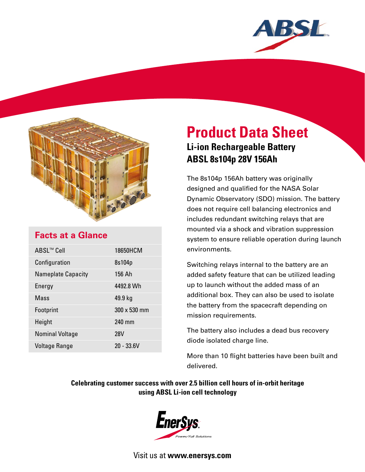



## **Facts at a Glance**

| ABSL™ Cell                | 18650HCM     |
|---------------------------|--------------|
| Configuration             | 8s104p       |
| <b>Nameplate Capacity</b> | 156 Ah       |
| Energy                    | 4492.8 Wh    |
| Mass                      | 49.9 kg      |
| Footprint                 | 300 x 530 mm |
| Height                    | 240 mm       |
| <b>Nominal Voltage</b>    | <b>28V</b>   |
| <b>Voltage Range</b>      | $20 - 33.6V$ |

# **Product Data Sheet Li-ion Rechargeable Battery ABSL 8s104p 28V 156Ah**

The 8s104p 156Ah battery was originally designed and qualified for the NASA Solar Dynamic Observatory (SDO) mission. The battery does not require cell balancing electronics and includes redundant switching relays that are mounted via a shock and vibration suppression system to ensure reliable operation during launch environments.

Switching relays internal to the battery are an added safety feature that can be utilized leading up to launch without the added mass of an additional box. They can also be used to isolate the battery from the spacecraft depending on mission requirements.

The battery also includes a dead bus recovery diode isolated charge line.

More than 10 flight batteries have been built and delivered.

### **Celebrating customer success with over 2.5 billion cell hours of in-orbit heritage using ABSL Li-ion cell technology**



Visit us at **www.enersys.com**